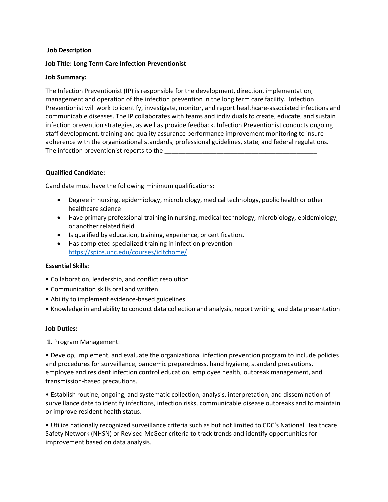#### **Job Description**

#### **Job Title: Long Term Care Infection Preventionist**

#### **Job Summary:**

The Infection Preventionist (IP) is responsible for the development, direction, implementation, management and operation of the infection prevention in the long term care facility. Infection Preventionist will work to identify, investigate, monitor, and report healthcare-associated infections and communicable diseases. The IP collaborates with teams and individuals to create, educate, and sustain infection prevention strategies, as well as provide feedback. Infection Preventionist conducts ongoing staff development, training and quality assurance performance improvement monitoring to insure adherence with the organizational standards, professional guidelines, state, and federal regulations. The infection preventionist reports to the

# **Qualified Candidate:**

Candidate must have the following minimum qualifications:

- Degree in nursing, epidemiology, microbiology, medical technology, public health or other healthcare science
- Have primary professional training in nursing, medical technology, microbiology, epidemiology, or another related field
- Is qualified by education, training, experience, or certification.
- Has completed specialized training in infection prevention <https://spice.unc.edu/courses/icltchome/>

# **Essential Skills:**

- Collaboration, leadership, and conflict resolution
- Communication skills oral and written
- Ability to implement evidence-based guidelines
- Knowledge in and ability to conduct data collection and analysis, report writing, and data presentation

# **Job Duties:**

1. Program Management:

• Develop, implement, and evaluate the organizational infection prevention program to include policies and procedures for surveillance, pandemic preparedness, hand hygiene, standard precautions, employee and resident infection control education, employee health, outbreak management, and transmission-based precautions.

• Establish routine, ongoing, and systematic collection, analysis, interpretation, and dissemination of surveillance date to identify infections, infection risks, communicable disease outbreaks and to maintain or improve resident health status.

• Utilize nationally recognized surveillance criteria such as but not limited to CDC's National Healthcare Safety Network (NHSN) or Revised McGeer criteria to track trends and identify opportunities for improvement based on data analysis.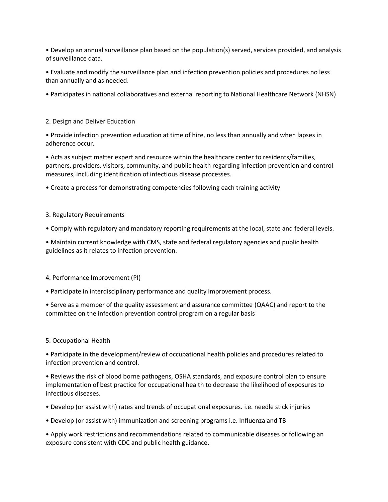• Develop an annual surveillance plan based on the population(s) served, services provided, and analysis of surveillance data.

• Evaluate and modify the surveillance plan and infection prevention policies and procedures no less than annually and as needed.

• Participates in national collaboratives and external reporting to National Healthcare Network (NHSN)

#### 2. Design and Deliver Education

• Provide infection prevention education at time of hire, no less than annually and when lapses in adherence occur.

• Acts as subject matter expert and resource within the healthcare center to residents/families, partners, providers, visitors, community, and public health regarding infection prevention and control measures, including identification of infectious disease processes.

• Create a process for demonstrating competencies following each training activity

#### 3. Regulatory Requirements

• Comply with regulatory and mandatory reporting requirements at the local, state and federal levels.

• Maintain current knowledge with CMS, state and federal regulatory agencies and public health guidelines as it relates to infection prevention.

4. Performance Improvement (PI)

• Participate in interdisciplinary performance and quality improvement process.

• Serve as a member of the quality assessment and assurance committee (QAAC) and report to the committee on the infection prevention control program on a regular basis

# 5. Occupational Health

• Participate in the development/review of occupational health policies and procedures related to infection prevention and control.

• Reviews the risk of blood borne pathogens, OSHA standards, and exposure control plan to ensure implementation of best practice for occupational health to decrease the likelihood of exposures to infectious diseases.

• Develop (or assist with) rates and trends of occupational exposures. i.e. needle stick injuries

• Develop (or assist with) immunization and screening programs i.e. Influenza and TB

• Apply work restrictions and recommendations related to communicable diseases or following an exposure consistent with CDC and public health guidance.